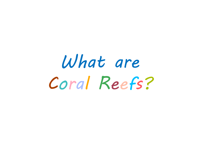## What are Coral Reefs?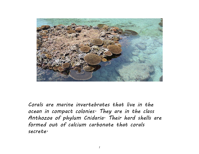

Corals are marine invertebrates that live in the ocean in compact colonies. They are in the class Anthozoa of phylum Cnidaria. Their hard shells are formed out of calcium carbonate that corals secrete.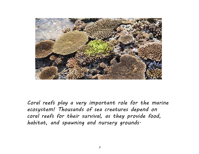

Coral reefs play a very important role for the marine ecosystem! Thousands of sea creatures depend on coral reefs for their survival, as they provide food, habitat, and spawning and nursery grounds.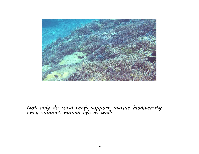

## Not only do coral reefs support marine biodiversity, they support human life as well.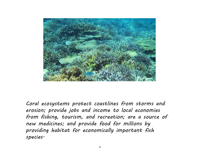

Coral ecosystems protect coastlines from storms and erosion; provide jobs and income to local economies from fishing, tourism, and recreation; are a source of new medicines; and provide food for millions by providing habitat for economically important fish species.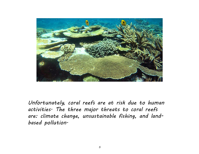

Unfortunately, coral reefs are at risk due to human activities. The three major threats to coral reefs are: climate change, unsustainable fishing, and landbased pollution.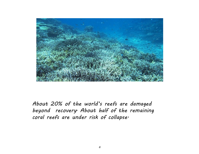

About 20% of the world's reefs are damaged beyond recovery. About half of the remaining coral reefs are under risk of collapse.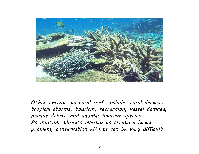

Other threats to coral reefs include: coral disease, tropical storms, tourism, recreation, vessel damage, marine debris, and aquatic invasive species. As multiple threats overlap to create a larger problem, conservation efforts can be very difficult.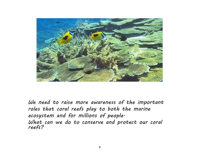

We need to raise more awareness of the important roles that coral reefs play to both the marine ecosystem and for millions of people. What can we do to conserve and protect our coral reefs?